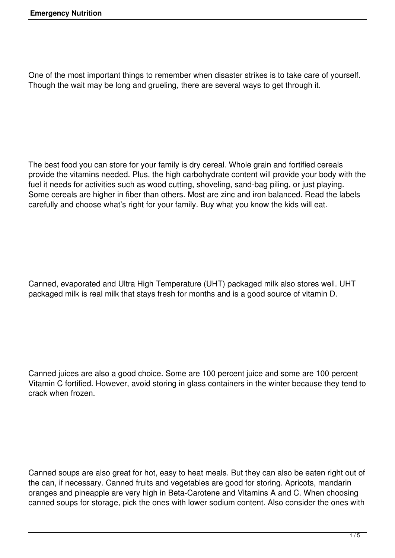One of the most important things to remember when disaster strikes is to take care of yourself. Though the wait may be long and grueling, there are several ways to get through it.

The best food you can store for your family is dry cereal. Whole grain and fortified cereals provide the vitamins needed. Plus, the high carbohydrate content will provide your body with the fuel it needs for activities such as wood cutting, shoveling, sand-bag piling, or just playing. Some cereals are higher in fiber than others. Most are zinc and iron balanced. Read the labels carefully and choose what's right for your family. Buy what you know the kids will eat.

Canned, evaporated and Ultra High Temperature (UHT) packaged milk also stores well. UHT packaged milk is real milk that stays fresh for months and is a good source of vitamin D.

Canned juices are also a good choice. Some are 100 percent juice and some are 100 percent Vitamin C fortified. However, avoid storing in glass containers in the winter because they tend to crack when frozen.

Canned soups are also great for hot, easy to heat meals. But they can also be eaten right out of the can, if necessary. Canned fruits and vegetables are good for storing. Apricots, mandarin oranges and pineapple are very high in Beta-Carotene and Vitamins A and C. When choosing canned soups for storage, pick the ones with lower sodium content. Also consider the ones with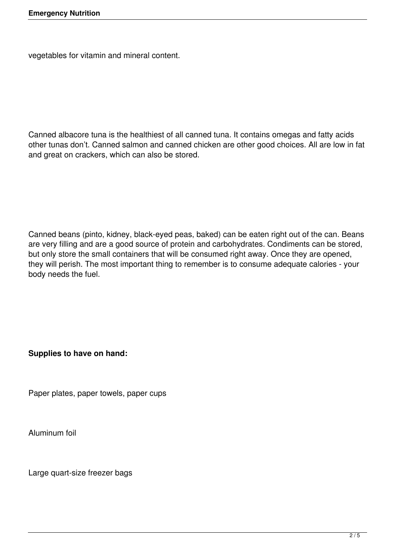vegetables for vitamin and mineral content.

Canned albacore tuna is the healthiest of all canned tuna. It contains omegas and fatty acids other tunas don't. Canned salmon and canned chicken are other good choices. All are low in fat and great on crackers, which can also be stored.

Canned beans (pinto, kidney, black-eyed peas, baked) can be eaten right out of the can. Beans are very filling and are a good source of protein and carbohydrates. Condiments can be stored, but only store the small containers that will be consumed right away. Once they are opened, they will perish. The most important thing to remember is to consume adequate calories - your body needs the fuel.

**Supplies to have on hand:**

Paper plates, paper towels, paper cups

Aluminum foil

Large quart-size freezer bags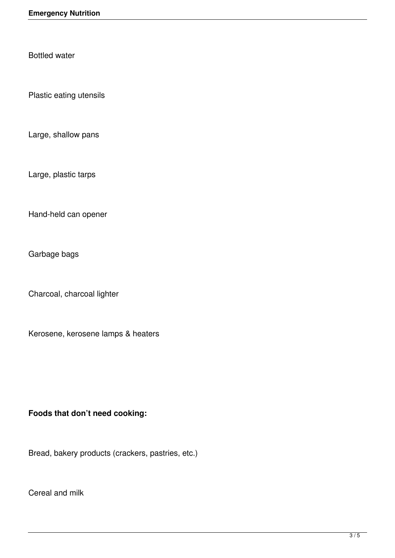Bottled water

Plastic eating utensils

Large, shallow pans

Large, plastic tarps

Hand-held can opener

Garbage bags

Charcoal, charcoal lighter

Kerosene, kerosene lamps & heaters

## **Foods that don't need cooking:**

Bread, bakery products (crackers, pastries, etc.)

Cereal and milk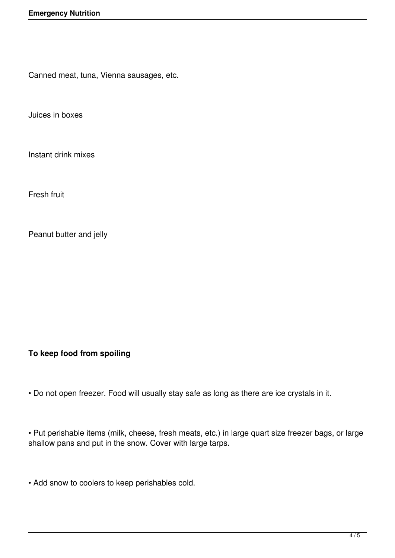Canned meat, tuna, Vienna sausages, etc.

Juices in boxes

Instant drink mixes

Fresh fruit

Peanut butter and jelly

**To keep food from spoiling**

• Do not open freezer. Food will usually stay safe as long as there are ice crystals in it.

• Put perishable items (milk, cheese, fresh meats, etc.) in large quart size freezer bags, or large shallow pans and put in the snow. Cover with large tarps.

• Add snow to coolers to keep perishables cold.